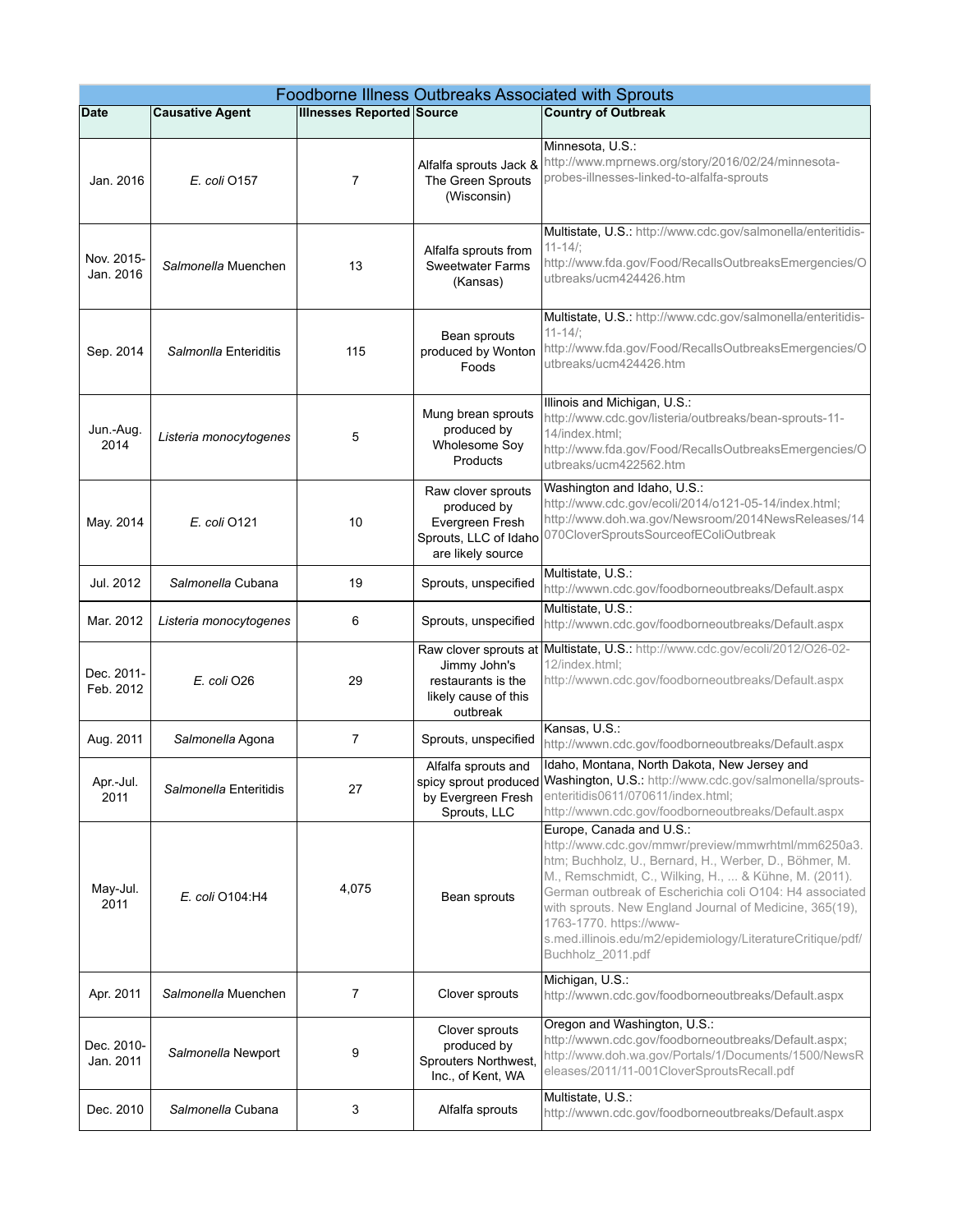| Foodborne Illness Outbreaks Associated with Sprouts |                        |                                  |                                                                                                    |                                                                                                                                                                                                                                                                                                                                                                                                                                       |
|-----------------------------------------------------|------------------------|----------------------------------|----------------------------------------------------------------------------------------------------|---------------------------------------------------------------------------------------------------------------------------------------------------------------------------------------------------------------------------------------------------------------------------------------------------------------------------------------------------------------------------------------------------------------------------------------|
| Date                                                | <b>Causative Agent</b> | <b>Illnesses Reported Source</b> |                                                                                                    | <b>Country of Outbreak</b>                                                                                                                                                                                                                                                                                                                                                                                                            |
| Jan. 2016                                           | E. coli 0157           | 7                                | Alfalfa sprouts Jack 8<br>The Green Sprouts<br>(Wisconsin)                                         | Minnesota, U.S.:<br>http://www.mprnews.org/story/2016/02/24/minnesota-<br>probes-illnesses-linked-to-alfalfa-sprouts                                                                                                                                                                                                                                                                                                                  |
| Nov. 2015-<br>Jan. 2016                             | Salmonella Muenchen    | 13                               | Alfalfa sprouts from<br><b>Sweetwater Farms</b><br>(Kansas)                                        | Multistate, U.S.: http://www.cdc.gov/salmonella/enteritidis-<br>$11 - 14/$ :<br>http://www.fda.gov/Food/RecallsOutbreaksEmergencies/O<br>utbreaks/ucm424426.htm                                                                                                                                                                                                                                                                       |
| Sep. 2014                                           | Salmonlla Enteriditis  | 115                              | Bean sprouts<br>produced by Wonton<br>Foods                                                        | Multistate, U.S.: http://www.cdc.gov/salmonella/enteritidis-<br>$11 - 14/$ :<br>http://www.fda.gov/Food/RecallsOutbreaksEmergencies/O<br>utbreaks/ucm424426.htm                                                                                                                                                                                                                                                                       |
| Jun.-Aug.<br>2014                                   | Listeria monocytogenes | 5                                | Mung brean sprouts<br>produced by<br>Wholesome Soy<br>Products                                     | Illinois and Michigan, U.S.:<br>http://www.cdc.gov/listeria/outbreaks/bean-sprouts-11-<br>14/index.html;<br>http://www.fda.gov/Food/RecallsOutbreaksEmergencies/O<br>utbreaks/ucm422562.htm                                                                                                                                                                                                                                           |
| May. 2014                                           | E. coli 0121           | 10                               | Raw clover sprouts<br>produced by<br>Evergreen Fresh<br>Sprouts, LLC of Idaho<br>are likely source | Washington and Idaho, U.S.:<br>http://www.cdc.gov/ecoli/2014/o121-05-14/index.html;<br>http://www.doh.wa.gov/Newsroom/2014NewsReleases/14<br>070CloverSproutsSourceofEColiOutbreak                                                                                                                                                                                                                                                    |
| Jul. 2012                                           | Salmonella Cubana      | 19                               | Sprouts, unspecified                                                                               | Multistate, U.S.:<br>http://wwwn.cdc.gov/foodborneoutbreaks/Default.aspx                                                                                                                                                                                                                                                                                                                                                              |
| Mar. 2012                                           | Listeria monocytogenes | 6                                | Sprouts, unspecified                                                                               | Multistate, U.S.:<br>http://wwwn.cdc.gov/foodborneoutbreaks/Default.aspx                                                                                                                                                                                                                                                                                                                                                              |
| Dec. 2011-<br>Feb. 2012                             | E. coli O26            | 29                               | Raw clover sprouts at<br>Jimmy John's<br>restaurants is the<br>likely cause of this<br>outbreak    | Multistate, U.S.: http://www.cdc.gov/ecoli/2012/O26-02-<br>12/index.html;<br>http://wwwn.cdc.gov/foodborneoutbreaks/Default.aspx                                                                                                                                                                                                                                                                                                      |
| Aug. 2011                                           | Salmonella Agona       | 7                                | Sprouts, unspecified                                                                               | Kansas, U.S.:<br>http://wwwn.cdc.gov/foodborneoutbreaks/Default.aspx                                                                                                                                                                                                                                                                                                                                                                  |
| Apr - Jul.<br>2011                                  | Salmonella Enteritidis | 27                               | Alfalfa sprouts and<br>by Evergreen Fresh<br>Sprouts, LLC                                          | Idaho, Montana, North Dakota, New Jersey and<br>spicy sprout produced Washington, U.S.: http://www.cdc.gov/salmonella/sprouts-<br>enteritidis0611/070611/index.html;<br>http://wwwn.cdc.gov/foodborneoutbreaks/Default.aspx                                                                                                                                                                                                           |
| May-Jul.<br>2011                                    | E. coli O104:H4        | 4,075                            | Bean sprouts                                                                                       | Europe, Canada and U.S.:<br>http://www.cdc.gov/mmwr/preview/mmwrhtml/mm6250a3.<br>htm; Buchholz, U., Bernard, H., Werber, D., Böhmer, M.<br>M., Remschmidt, C., Wilking, H.,  & Kühne, M. (2011).<br>German outbreak of Escherichia coli O104: H4 associated<br>with sprouts. New England Journal of Medicine, 365(19),<br>1763-1770. https://www-<br>s.med.illinois.edu/m2/epidemiology/LiteratureCritique/pdf/<br>Buchholz_2011.pdf |
| Apr. 2011                                           | Salmonella Muenchen    | $\overline{7}$                   | Clover sprouts                                                                                     | Michigan, U.S.:<br>http://wwwn.cdc.gov/foodborneoutbreaks/Default.aspx                                                                                                                                                                                                                                                                                                                                                                |
| Dec. 2010-<br>Jan. 2011                             | Salmonella Newport     | 9                                | Clover sprouts<br>produced by<br>Sprouters Northwest,<br>Inc., of Kent, WA                         | Oregon and Washington, U.S.:<br>http://wwwn.cdc.gov/foodborneoutbreaks/Default.aspx;<br>http://www.doh.wa.gov/Portals/1/Documents/1500/NewsR<br>eleases/2011/11-001CloverSproutsRecall.pdf                                                                                                                                                                                                                                            |
| Dec. 2010                                           | Salmonella Cubana      | 3                                | Alfalfa sprouts                                                                                    | Multistate, U.S.:<br>http://wwwn.cdc.gov/foodborneoutbreaks/Default.aspx                                                                                                                                                                                                                                                                                                                                                              |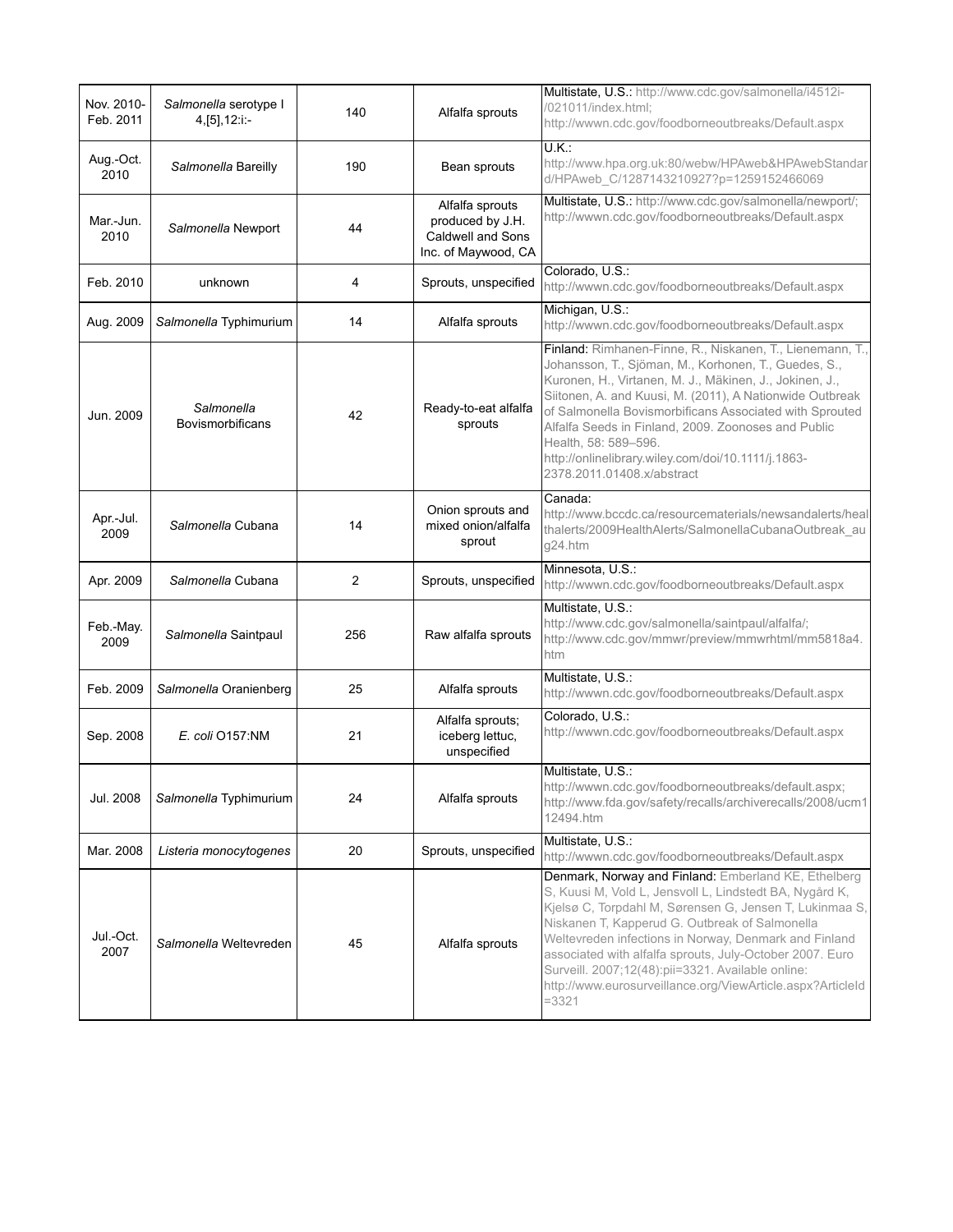| Nov. 2010-<br>Feb. 2011 | Salmonella serotype I<br>4, [5], 12: i:- | 140 | Alfalfa sprouts                                                                 | Multistate, U.S.: http://www.cdc.gov/salmonella/i4512i-<br>/021011/index.html;<br>http://wwwn.cdc.gov/foodborneoutbreaks/Default.aspx                                                                                                                                                                                                                                                                                                                                            |
|-------------------------|------------------------------------------|-----|---------------------------------------------------------------------------------|----------------------------------------------------------------------------------------------------------------------------------------------------------------------------------------------------------------------------------------------------------------------------------------------------------------------------------------------------------------------------------------------------------------------------------------------------------------------------------|
| Aug.-Oct.<br>2010       | Salmonella Bareilly                      | 190 | Bean sprouts                                                                    | $U.K$ :<br>http://www.hpa.org.uk:80/webw/HPAweb&HPAwebStandar<br>d/HPAweb_C/1287143210927?p=1259152466069                                                                                                                                                                                                                                                                                                                                                                        |
| Mar.-Jun.<br>2010       | Salmonella Newport                       | 44  | Alfalfa sprouts<br>produced by J.H.<br>Caldwell and Sons<br>Inc. of Maywood, CA | Multistate, U.S.: http://www.cdc.gov/salmonella/newport/;<br>http://wwwn.cdc.gov/foodborneoutbreaks/Default.aspx                                                                                                                                                                                                                                                                                                                                                                 |
| Feb. 2010               | unknown                                  | 4   | Sprouts, unspecified                                                            | Colorado, U.S.:<br>http://wwwn.cdc.gov/foodborneoutbreaks/Default.aspx                                                                                                                                                                                                                                                                                                                                                                                                           |
| Aug. 2009               | Salmonella Typhimurium                   | 14  | Alfalfa sprouts                                                                 | Michigan, U.S.:<br>http://wwwn.cdc.gov/foodborneoutbreaks/Default.aspx                                                                                                                                                                                                                                                                                                                                                                                                           |
| Jun. 2009               | Salmonella<br><b>Bovismorbificans</b>    | 42  | Ready-to-eat alfalfa<br>sprouts                                                 | Finland: Rimhanen-Finne, R., Niskanen, T., Lienemann, T.,<br>Johansson, T., Sjöman, M., Korhonen, T., Guedes, S.,<br>Kuronen, H., Virtanen, M. J., Mäkinen, J., Jokinen, J.,<br>Siitonen, A. and Kuusi, M. (2011), A Nationwide Outbreak<br>of Salmonella Bovismorbificans Associated with Sprouted<br>Alfalfa Seeds in Finland, 2009. Zoonoses and Public<br>Health, 58: 589-596.<br>http://onlinelibrary.wiley.com/doi/10.1111/j.1863-<br>2378.2011.01408.x/abstract           |
| Apr.-Jul.<br>2009       | Salmonella Cubana                        | 14  | Onion sprouts and<br>mixed onion/alfalfa<br>sprout                              | Canada:<br>http://www.bccdc.ca/resourcematerials/newsandalerts/heal<br>thalerts/2009HealthAlerts/SalmonellaCubanaOutbreak_au<br>g24.htm                                                                                                                                                                                                                                                                                                                                          |
| Apr. 2009               | Salmonella Cubana                        | 2   | Sprouts, unspecified                                                            | Minnesota, U.S.:<br>http://wwwn.cdc.gov/foodborneoutbreaks/Default.aspx                                                                                                                                                                                                                                                                                                                                                                                                          |
| Feb.-May.<br>2009       | Salmonella Saintpaul                     | 256 | Raw alfalfa sprouts                                                             | Multistate, U.S.:<br>http://www.cdc.gov/salmonella/saintpaul/alfalfa/;<br>http://www.cdc.gov/mmwr/preview/mmwrhtml/mm5818a4.<br>htm                                                                                                                                                                                                                                                                                                                                              |
| Feb. 2009               | Salmonella Oranienberg                   | 25  | Alfalfa sprouts                                                                 | Multistate, U.S.:<br>http://wwwn.cdc.gov/foodborneoutbreaks/Default.aspx                                                                                                                                                                                                                                                                                                                                                                                                         |
| Sep. 2008               | E. coli 0157:NM                          | 21  | Alfalfa sprouts:<br>iceberg lettuc,<br>unspecified                              | Colorado, U.S.:<br>http://wwwn.cdc.gov/foodborneoutbreaks/Default.aspx                                                                                                                                                                                                                                                                                                                                                                                                           |
| Jul. 2008               | Salmonella Typhimurium                   | 24  | Alfalfa sprouts                                                                 | Multistate, U.S.:<br>http://wwwn.cdc.gov/foodborneoutbreaks/default.aspx;<br>http://www.fda.gov/safety/recalls/archiverecalls/2008/ucm1<br>12494.htm                                                                                                                                                                                                                                                                                                                             |
| Mar. 2008               | Listeria monocytogenes                   | 20  | Sprouts, unspecified                                                            | Multistate, U.S.:<br>http://wwwn.cdc.gov/foodborneoutbreaks/Default.aspx                                                                                                                                                                                                                                                                                                                                                                                                         |
| Jul.-Oct.<br>2007       | Salmonella Weltevreden                   | 45  | Alfalfa sprouts                                                                 | Denmark, Norway and Finland: Emberland KE, Ethelberg<br>S, Kuusi M, Vold L, Jensvoll L, Lindstedt BA, Nygård K,<br>Kjelsø C, Torpdahl M, Sørensen G, Jensen T, Lukinmaa S,<br>Niskanen T, Kapperud G. Outbreak of Salmonella<br>Weltevreden infections in Norway, Denmark and Finland<br>associated with alfalfa sprouts, July-October 2007. Euro<br>Surveill. 2007;12(48):pii=3321. Available online:<br>http://www.eurosurveillance.org/ViewArticle.aspx?ArticleId<br>$= 3321$ |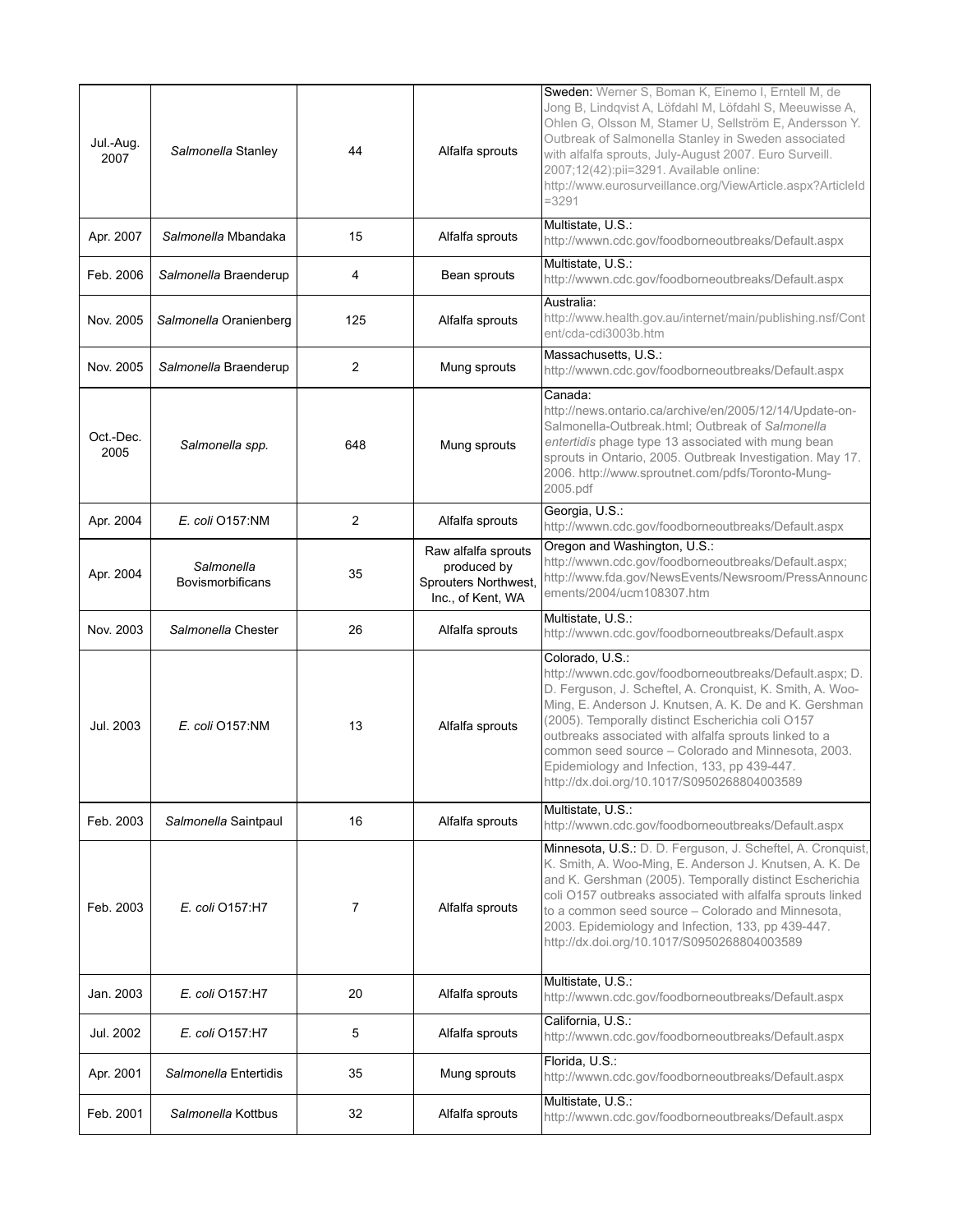| Jul.-Aug.<br>2007 | Salmonella Stanley                    | 44             | Alfalfa sprouts                                                                 | Sweden: Werner S, Boman K, Einemo I, Erntell M, de<br>Jong B, Lindqvist A, Löfdahl M, Löfdahl S, Meeuwisse A,<br>Ohlen G, Olsson M, Stamer U, Sellström E, Andersson Y.<br>Outbreak of Salmonella Stanley in Sweden associated<br>with alfalfa sprouts, July-August 2007. Euro Surveill.<br>2007;12(42):pii=3291. Available online:<br>http://www.eurosurveillance.org/ViewArticle.aspx?ArticleId<br>$= 3291$                                                        |
|-------------------|---------------------------------------|----------------|---------------------------------------------------------------------------------|----------------------------------------------------------------------------------------------------------------------------------------------------------------------------------------------------------------------------------------------------------------------------------------------------------------------------------------------------------------------------------------------------------------------------------------------------------------------|
| Apr. 2007         | Salmonella Mbandaka                   | 15             | Alfalfa sprouts                                                                 | Multistate, U.S.:<br>http://wwwn.cdc.gov/foodborneoutbreaks/Default.aspx                                                                                                                                                                                                                                                                                                                                                                                             |
| Feb. 2006         | Salmonella Braenderup                 | 4              | Bean sprouts                                                                    | Multistate, U.S.:<br>http://wwwn.cdc.gov/foodborneoutbreaks/Default.aspx                                                                                                                                                                                                                                                                                                                                                                                             |
| Nov. 2005         | Salmonella Oranienberg                | 125            | Alfalfa sprouts                                                                 | Australia:<br>http://www.health.gov.au/internet/main/publishing.nsf/Cont<br>ent/cda-cdi3003b.htm                                                                                                                                                                                                                                                                                                                                                                     |
| Nov. 2005         | Salmonella Braenderup                 | $\overline{c}$ | Mung sprouts                                                                    | Massachusetts, U.S.:<br>http://wwwn.cdc.gov/foodborneoutbreaks/Default.aspx                                                                                                                                                                                                                                                                                                                                                                                          |
| Oct.-Dec.<br>2005 | Salmonella spp.                       | 648            | Mung sprouts                                                                    | Canada:<br>http://news.ontario.ca/archive/en/2005/12/14/Update-on-<br>Salmonella-Outbreak.html; Outbreak of Salmonella<br>entertidis phage type 13 associated with mung bean<br>sprouts in Ontario, 2005. Outbreak Investigation. May 17.<br>2006. http://www.sproutnet.com/pdfs/Toronto-Mung-<br>2005.pdf                                                                                                                                                           |
| Apr. 2004         | E. coli O157:NM                       | $\overline{c}$ | Alfalfa sprouts                                                                 | Georgia, U.S.:<br>http://wwwn.cdc.gov/foodborneoutbreaks/Default.aspx                                                                                                                                                                                                                                                                                                                                                                                                |
| Apr. 2004         | Salmonella<br><b>Bovismorbificans</b> | 35             | Raw alfalfa sprouts<br>produced by<br>Sprouters Northwest,<br>Inc., of Kent, WA | Oregon and Washington, U.S.:<br>http://wwwn.cdc.gov/foodborneoutbreaks/Default.aspx;<br>http://www.fda.gov/NewsEvents/Newsroom/PressAnnounc<br>ements/2004/ucm108307.htm                                                                                                                                                                                                                                                                                             |
| Nov. 2003         | Salmonella Chester                    | 26             | Alfalfa sprouts                                                                 | Multistate, U.S.:<br>http://wwwn.cdc.gov/foodborneoutbreaks/Default.aspx                                                                                                                                                                                                                                                                                                                                                                                             |
| Jul. 2003         | $E.$ coli $O157$ :NM                  | 13             | Alfalfa sprouts                                                                 | Colorado, U.S.:<br>http://wwwn.cdc.gov/foodborneoutbreaks/Default.aspx; D.<br>D. Ferguson, J. Scheftel, A. Cronquist, K. Smith, A. Woo-<br>Ming, E. Anderson J. Knutsen, A. K. De and K. Gershman<br>(2005). Temporally distinct Escherichia coli O157<br>outbreaks associated with alfalfa sprouts linked to a<br>common seed source - Colorado and Minnesota, 2003.<br>Epidemiology and Infection, 133, pp 439-447.<br>http://dx.doi.org/10.1017/S0950268804003589 |
| Feb. 2003         | Salmonella Saintpaul                  | 16             | Alfalfa sprouts                                                                 | Multistate, U.S.:<br>http://wwwn.cdc.gov/foodborneoutbreaks/Default.aspx                                                                                                                                                                                                                                                                                                                                                                                             |
| Feb. 2003         | E. coli 0157:H7                       | 7              | Alfalfa sprouts                                                                 | Minnesota, U.S.: D. D. Ferguson, J. Scheftel, A. Cronquist,<br>K. Smith, A. Woo-Ming, E. Anderson J. Knutsen, A. K. De<br>and K. Gershman (2005). Temporally distinct Escherichia<br>coli O157 outbreaks associated with alfalfa sprouts linked<br>to a common seed source - Colorado and Minnesota,<br>2003. Epidemiology and Infection, 133, pp 439-447.<br>http://dx.doi.org/10.1017/S0950268804003589                                                            |
| Jan. 2003         | E. coli 0157:H7                       | 20             | Alfalfa sprouts                                                                 | Multistate, U.S.:<br>http://wwwn.cdc.gov/foodborneoutbreaks/Default.aspx                                                                                                                                                                                                                                                                                                                                                                                             |
| Jul. 2002         | E. coli 0157:H7                       | 5              | Alfalfa sprouts                                                                 | California, U.S.:<br>http://wwwn.cdc.gov/foodborneoutbreaks/Default.aspx                                                                                                                                                                                                                                                                                                                                                                                             |
| Apr. 2001         | Salmonella Entertidis                 | 35             | Mung sprouts                                                                    | Florida, U.S.:<br>http://wwwn.cdc.gov/foodborneoutbreaks/Default.aspx                                                                                                                                                                                                                                                                                                                                                                                                |
| Feb. 2001         | Salmonella Kottbus                    | 32             | Alfalfa sprouts                                                                 | Multistate, U.S.:<br>http://wwwn.cdc.gov/foodborneoutbreaks/Default.aspx                                                                                                                                                                                                                                                                                                                                                                                             |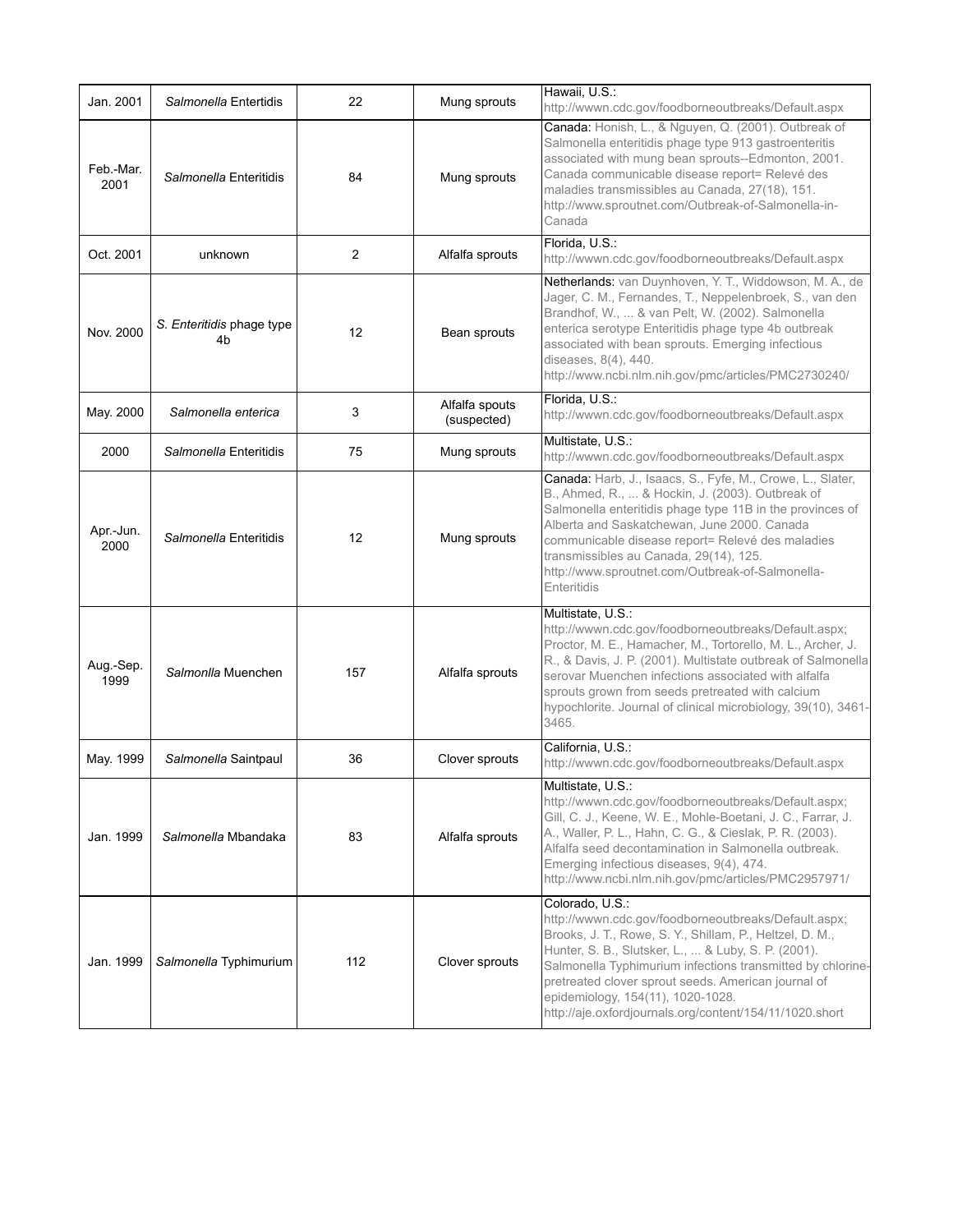| Jan. 2001         | Salmonella Entertidis           | 22             | Mung sprouts                  | Hawaii, U.S.:<br>http://wwwn.cdc.gov/foodborneoutbreaks/Default.aspx                                                                                                                                                                                                                                                                                                                                            |
|-------------------|---------------------------------|----------------|-------------------------------|-----------------------------------------------------------------------------------------------------------------------------------------------------------------------------------------------------------------------------------------------------------------------------------------------------------------------------------------------------------------------------------------------------------------|
| Feb.-Mar.<br>2001 | Salmonella Enteritidis          | 84             | Mung sprouts                  | Canada: Honish, L., & Nguyen, Q. (2001). Outbreak of<br>Salmonella enteritidis phage type 913 gastroenteritis<br>associated with mung bean sprouts--Edmonton, 2001.<br>Canada communicable disease report= Relevé des<br>maladies transmissibles au Canada, 27(18), 151.<br>http://www.sproutnet.com/Outbreak-of-Salmonella-in-<br>Canada                                                                       |
| Oct. 2001         | unknown                         | $\overline{c}$ | Alfalfa sprouts               | Florida, U.S.:<br>http://wwwn.cdc.gov/foodborneoutbreaks/Default.aspx                                                                                                                                                                                                                                                                                                                                           |
| Nov. 2000         | S. Enteritidis phage type<br>4b | 12             | Bean sprouts                  | Netherlands: van Duynhoven, Y. T., Widdowson, M. A., de<br>Jager, C. M., Fernandes, T., Neppelenbroek, S., van den<br>Brandhof, W.,  & van Pelt, W. (2002). Salmonella<br>enterica serotype Enteritidis phage type 4b outbreak<br>associated with bean sprouts. Emerging infectious<br>diseases, 8(4), 440.<br>http://www.ncbi.nlm.nih.gov/pmc/articles/PMC2730240/                                             |
| May. 2000         | Salmonella enterica             | 3              | Alfalfa spouts<br>(suspected) | Florida, U.S.:<br>http://wwwn.cdc.gov/foodborneoutbreaks/Default.aspx                                                                                                                                                                                                                                                                                                                                           |
| 2000              | Salmonella Enteritidis          | 75             | Mung sprouts                  | Multistate, U.S.:<br>http://wwwn.cdc.gov/foodborneoutbreaks/Default.aspx                                                                                                                                                                                                                                                                                                                                        |
| Apr.-Jun.<br>2000 | Salmonella Enteritidis          | 12             | Mung sprouts                  | Canada: Harb, J., Isaacs, S., Fyfe, M., Crowe, L., Slater,<br>B., Ahmed, R.,  & Hockin, J. (2003). Outbreak of<br>Salmonella enteritidis phage type 11B in the provinces of<br>Alberta and Saskatchewan, June 2000. Canada<br>communicable disease report= Relevé des maladies<br>transmissibles au Canada, 29(14), 125.<br>http://www.sproutnet.com/Outbreak-of-Salmonella-<br>Enteritidis                     |
| Aug.-Sep.<br>1999 | Salmonlla Muenchen              | 157            | Alfalfa sprouts               | Multistate, U.S.:<br>http://wwwn.cdc.gov/foodborneoutbreaks/Default.aspx;<br>Proctor, M. E., Hamacher, M., Tortorello, M. L., Archer, J.<br>R., & Davis, J. P. (2001). Multistate outbreak of Salmonella<br>serovar Muenchen infections associated with alfalfa<br>sprouts grown from seeds pretreated with calcium<br>hypochlorite. Journal of clinical microbiology, 39(10), 3461-<br>3465.                   |
| May. 1999         | Salmonella Saintpaul            | 36             | Clover sprouts                | California, U.S.:<br>http://wwwn.cdc.gov/foodborneoutbreaks/Default.aspx                                                                                                                                                                                                                                                                                                                                        |
| Jan. 1999         | Salmonella Mbandaka             | 83             | Alfalfa sprouts               | Multistate, U.S.:<br>http://wwwn.cdc.gov/foodborneoutbreaks/Default.aspx;<br>Gill, C. J., Keene, W. E., Mohle-Boetani, J. C., Farrar, J.<br>A., Waller, P. L., Hahn, C. G., & Cieslak, P. R. (2003).<br>Alfalfa seed decontamination in Salmonella outbreak.<br>Emerging infectious diseases, 9(4), 474.<br>http://www.ncbi.nlm.nih.gov/pmc/articles/PMC2957971/                                                |
| Jan. 1999         | Salmonella Typhimurium          | 112            | Clover sprouts                | Colorado, U.S.:<br>http://wwwn.cdc.gov/foodborneoutbreaks/Default.aspx;<br>Brooks, J. T., Rowe, S. Y., Shillam, P., Heltzel, D. M.,<br>Hunter, S. B., Slutsker, L.,  & Luby, S. P. (2001).<br>Salmonella Typhimurium infections transmitted by chlorine-<br>pretreated clover sprout seeds. American journal of<br>epidemiology, 154(11), 1020-1028.<br>http://aje.oxfordjournals.org/content/154/11/1020.short |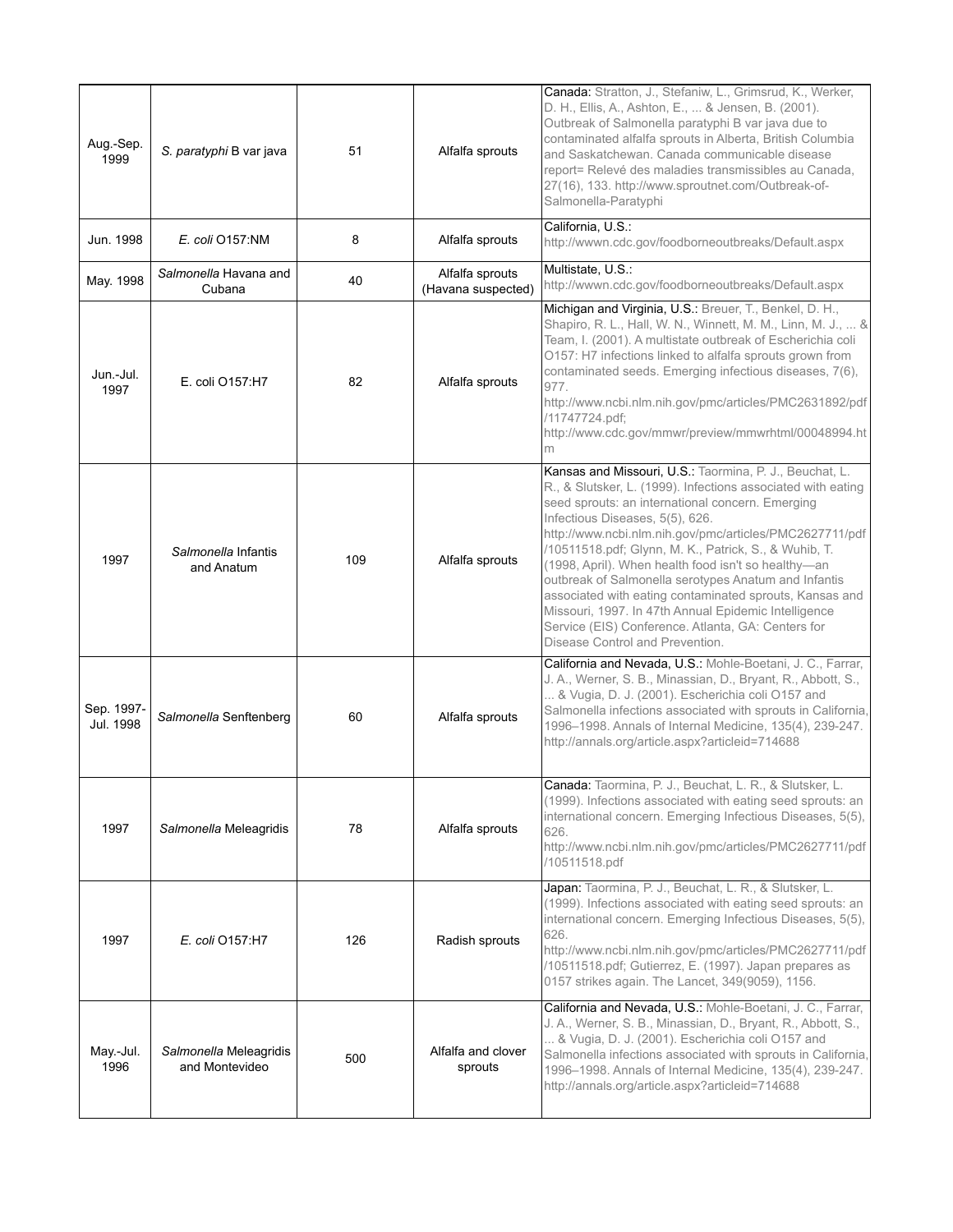| Aug.-Sep.<br>1999       | S. paratyphi B var java                  | 51  | Alfalfa sprouts                       | Canada: Stratton, J., Stefaniw, L., Grimsrud, K., Werker,<br>D. H., Ellis, A., Ashton, E.,  & Jensen, B. (2001).<br>Outbreak of Salmonella paratyphi B var java due to<br>contaminated alfalfa sprouts in Alberta, British Columbia<br>and Saskatchewan. Canada communicable disease<br>report= Relevé des maladies transmissibles au Canada.<br>27(16), 133. http://www.sproutnet.com/Outbreak-of-<br>Salmonella-Paratyphi                                                                                                                                                                                                                                   |
|-------------------------|------------------------------------------|-----|---------------------------------------|---------------------------------------------------------------------------------------------------------------------------------------------------------------------------------------------------------------------------------------------------------------------------------------------------------------------------------------------------------------------------------------------------------------------------------------------------------------------------------------------------------------------------------------------------------------------------------------------------------------------------------------------------------------|
| Jun. 1998               | E. coli O157:NM                          | 8   | Alfalfa sprouts                       | California, U.S.:<br>http://wwwn.cdc.gov/foodborneoutbreaks/Default.aspx                                                                                                                                                                                                                                                                                                                                                                                                                                                                                                                                                                                      |
| May. 1998               | Salmonella Havana and<br>Cubana          | 40  | Alfalfa sprouts<br>(Havana suspected) | Multistate, U.S.:<br>http://wwwn.cdc.gov/foodborneoutbreaks/Default.aspx                                                                                                                                                                                                                                                                                                                                                                                                                                                                                                                                                                                      |
| Jun.-Jul.<br>1997       | E. coli O157:H7                          | 82  | Alfalfa sprouts                       | Michigan and Virginia, U.S.: Breuer, T., Benkel, D. H.,<br>Shapiro, R. L., Hall, W. N., Winnett, M. M., Linn, M. J.,  &<br>Team, I. (2001). A multistate outbreak of Escherichia coli<br>O157: H7 infections linked to alfalfa sprouts grown from<br>contaminated seeds. Emerging infectious diseases, 7(6),<br>977.<br>http://www.ncbi.nlm.nih.gov/pmc/articles/PMC2631892/pdf<br>/11747724.pdf;<br>http://www.cdc.gov/mmwr/preview/mmwrhtml/00048994.ht<br>m                                                                                                                                                                                                |
| 1997                    | Salmonella Infantis<br>and Anatum        | 109 | Alfalfa sprouts                       | Kansas and Missouri, U.S.: Taormina, P. J., Beuchat, L.<br>R., & Slutsker, L. (1999). Infections associated with eating<br>seed sprouts: an international concern. Emerging<br>Infectious Diseases, 5(5), 626.<br>http://www.ncbi.nlm.nih.gov/pmc/articles/PMC2627711/pdf<br>/10511518.pdf; Glynn, M. K., Patrick, S., & Wuhib, T.<br>(1998, April). When health food isn't so healthy-an<br>outbreak of Salmonella serotypes Anatum and Infantis<br>associated with eating contaminated sprouts, Kansas and<br>Missouri, 1997. In 47th Annual Epidemic Intelligence<br>Service (EIS) Conference. Atlanta, GA: Centers for<br>Disease Control and Prevention. |
| Sep. 1997-<br>Jul. 1998 | Salmonella Senftenberg                   | 60  | Alfalfa sprouts                       | California and Nevada, U.S.: Mohle-Boetani, J. C., Farrar,<br>J. A., Werner, S. B., Minassian, D., Bryant, R., Abbott, S.,<br>& Vugia, D. J. (2001). Escherichia coli O157 and<br>Salmonella infections associated with sprouts in California,<br>1996-1998. Annals of Internal Medicine, 135(4), 239-247.<br>http://annals.org/article.aspx?articleid=714688                                                                                                                                                                                                                                                                                                 |
| 1997                    | Salmonella Meleagridis                   | 78  | Alfalfa sprouts                       | Canada: Taormina, P. J., Beuchat, L. R., & Slutsker, L.<br>(1999). Infections associated with eating seed sprouts: an<br>international concern. Emerging Infectious Diseases, 5(5),<br>626.<br>http://www.ncbi.nlm.nih.gov/pmc/articles/PMC2627711/pdf<br>/10511518.pdf                                                                                                                                                                                                                                                                                                                                                                                       |
| 1997                    | E. coli 0157:H7                          | 126 | Radish sprouts                        | Japan: Taormina, P. J., Beuchat, L. R., & Slutsker, L.<br>(1999). Infections associated with eating seed sprouts: an<br>international concern. Emerging Infectious Diseases, 5(5),<br>626.<br>http://www.ncbi.nlm.nih.gov/pmc/articles/PMC2627711/pdf<br>/10511518.pdf; Gutierrez, E. (1997). Japan prepares as<br>0157 strikes again. The Lancet, 349(9059), 1156.                                                                                                                                                                                                                                                                                           |
| May - Jul.<br>1996      | Salmonella Meleagridis<br>and Montevideo | 500 | Alfalfa and clover<br>sprouts         | California and Nevada, U.S.: Mohle-Boetani, J. C., Farrar,<br>J. A., Werner, S. B., Minassian, D., Bryant, R., Abbott, S.,<br>& Vugia, D. J. (2001). Escherichia coli O157 and<br>Salmonella infections associated with sprouts in California,<br>1996-1998. Annals of Internal Medicine, 135(4), 239-247.<br>http://annals.org/article.aspx?articleid=714688                                                                                                                                                                                                                                                                                                 |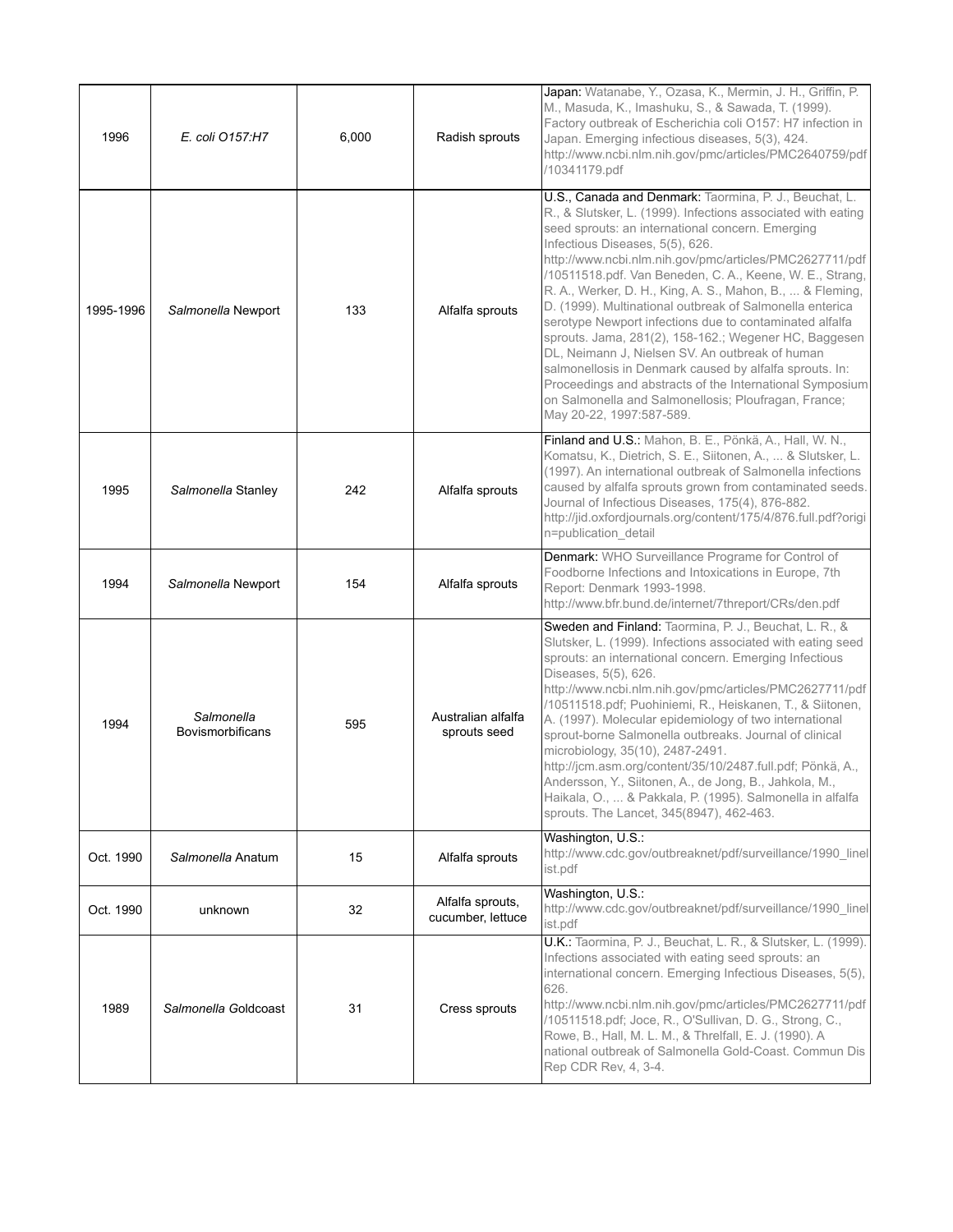| 1996      | E. coli O157:H7                       | 6.000 | Radish sprouts                        | Japan: Watanabe, Y., Ozasa, K., Mermin, J. H., Griffin, P.<br>M., Masuda, K., Imashuku, S., & Sawada, T. (1999).<br>Factory outbreak of Escherichia coli O157: H7 infection in<br>Japan. Emerging infectious diseases, 5(3), 424.<br>http://www.ncbi.nlm.nih.gov/pmc/articles/PMC2640759/pdf<br>/10341179.pdf                                                                                                                                                                                                                                                                                                                                                                                                                                                                                                                                   |
|-----------|---------------------------------------|-------|---------------------------------------|-------------------------------------------------------------------------------------------------------------------------------------------------------------------------------------------------------------------------------------------------------------------------------------------------------------------------------------------------------------------------------------------------------------------------------------------------------------------------------------------------------------------------------------------------------------------------------------------------------------------------------------------------------------------------------------------------------------------------------------------------------------------------------------------------------------------------------------------------|
| 1995-1996 | Salmonella Newport                    | 133   | Alfalfa sprouts                       | U.S., Canada and Denmark: Taormina, P. J., Beuchat, L.<br>R., & Slutsker, L. (1999). Infections associated with eating<br>seed sprouts: an international concern. Emerging<br>Infectious Diseases, 5(5), 626.<br>http://www.ncbi.nlm.nih.gov/pmc/articles/PMC2627711/pdf<br>/10511518.pdf. Van Beneden, C. A., Keene, W. E., Strang,<br>R. A., Werker, D. H., King, A. S., Mahon, B.,  & Fleming,<br>D. (1999). Multinational outbreak of Salmonella enterica<br>serotype Newport infections due to contaminated alfalfa<br>sprouts. Jama, 281(2), 158-162.; Wegener HC, Baggesen<br>DL, Neimann J, Nielsen SV. An outbreak of human<br>salmonellosis in Denmark caused by alfalfa sprouts. In:<br>Proceedings and abstracts of the International Symposium<br>on Salmonella and Salmonellosis; Ploufragan, France;<br>May 20-22, 1997:587-589. |
| 1995      | Salmonella Stanley                    | 242   | Alfalfa sprouts                       | Finland and U.S.: Mahon, B. E., Pönkä, A., Hall, W. N.,<br>Komatsu, K., Dietrich, S. E., Siitonen, A.,  & Slutsker, L.<br>(1997). An international outbreak of Salmonella infections<br>caused by alfalfa sprouts grown from contaminated seeds.<br>Journal of Infectious Diseases, 175(4), 876-882.<br>http://jid.oxfordjournals.org/content/175/4/876.full.pdf?origi<br>n=publication_detail                                                                                                                                                                                                                                                                                                                                                                                                                                                  |
| 1994      | Salmonella Newport                    | 154   | Alfalfa sprouts                       | Denmark: WHO Surveillance Programe for Control of<br>Foodborne Infections and Intoxications in Europe, 7th<br>Report: Denmark 1993-1998.<br>http://www.bfr.bund.de/internet/7threport/CRs/den.pdf                                                                                                                                                                                                                                                                                                                                                                                                                                                                                                                                                                                                                                               |
| 1994      | Salmonella<br><b>Bovismorbificans</b> | 595   | Australian alfalfa<br>sprouts seed    | Sweden and Finland: Taormina, P. J., Beuchat, L. R., &<br>Slutsker, L. (1999). Infections associated with eating seed<br>sprouts: an international concern. Emerging Infectious<br>Diseases, 5(5), 626.<br>http://www.ncbi.nlm.nih.gov/pmc/articles/PMC2627711/pdf<br>/10511518.pdf; Puohiniemi, R., Heiskanen, T., & Siitonen,<br>A. (1997). Molecular epidemiology of two international<br>sprout-borne Salmonella outbreaks. Journal of clinical<br>microbiology, 35(10), 2487-2491.<br>http://jcm.asm.org/content/35/10/2487.full.pdf; Pönkä, A.,<br>Andersson, Y., Siitonen, A., de Jong, B., Jahkola, M.,<br>Haikala, O.,  & Pakkala, P. (1995). Salmonella in alfalfa<br>sprouts. The Lancet, 345(8947), 462-463.                                                                                                                        |
| Oct. 1990 | Salmonella Anatum                     | 15    | Alfalfa sprouts                       | Washington, U.S.:<br>http://www.cdc.gov/outbreaknet/pdf/surveillance/1990_linel<br>ist.pdf                                                                                                                                                                                                                                                                                                                                                                                                                                                                                                                                                                                                                                                                                                                                                      |
| Oct. 1990 | unknown                               | 32    | Alfalfa sprouts,<br>cucumber, lettuce | Washington, U.S.:<br>http://www.cdc.gov/outbreaknet/pdf/surveillance/1990 linel<br>ist.pdf                                                                                                                                                                                                                                                                                                                                                                                                                                                                                                                                                                                                                                                                                                                                                      |
| 1989      | Salmonella Goldcoast                  | 31    | Cress sprouts                         | U.K.: Taormina, P. J., Beuchat, L. R., & Slutsker, L. (1999).<br>Infections associated with eating seed sprouts: an<br>international concern. Emerging Infectious Diseases, 5(5),<br>626.<br>http://www.ncbi.nlm.nih.gov/pmc/articles/PMC2627711/pdf<br>/10511518.pdf; Joce, R., O'Sullivan, D. G., Strong, C.,<br>Rowe, B., Hall, M. L. M., & Threlfall, E. J. (1990). A<br>national outbreak of Salmonella Gold-Coast. Commun Dis<br>Rep CDR Rev, 4, 3-4.                                                                                                                                                                                                                                                                                                                                                                                     |